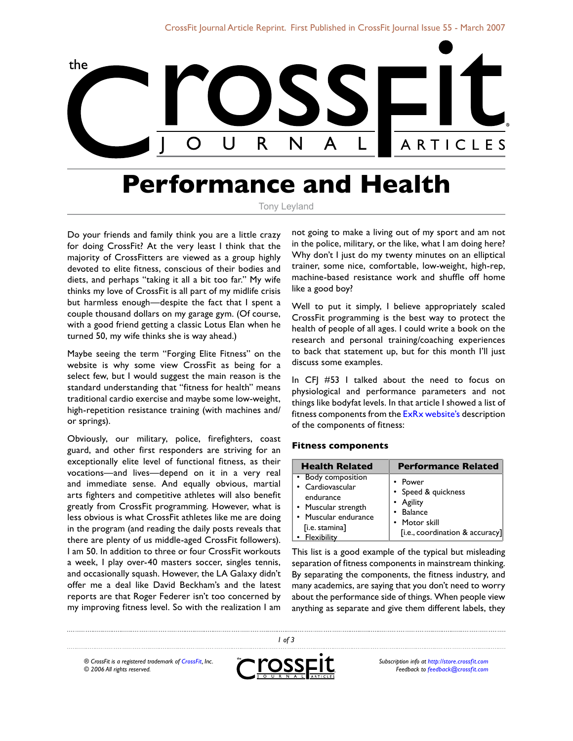

# **Performance and Health**

Tony Leyland

Do your friends and family think you are a little crazy for doing CrossFit? At the very least I think that the majority of CrossFitters are viewed as a group highly devoted to elite fitness, conscious of their bodies and diets, and perhaps "taking it all a bit too far." My wife thinks my love of CrossFit is all part of my midlife crisis but harmless enough—despite the fact that I spent a couple thousand dollars on my garage gym. (Of course, with a good friend getting a classic Lotus Elan when he turned 50, my wife thinks she is way ahead.)

Maybe seeing the term "Forging Elite Fitness" on the website is why some view CrossFit as being for a select few, but I would suggest the main reason is the standard understanding that "fitness for health" means traditional cardio exercise and maybe some low-weight, high-repetition resistance training (with machines and/ or springs).

Obviously, our military, police, firefighters, coast guard, and other first responders are striving for an exceptionally elite level of functional fitness, as their vocations—and lives—depend on it in a very real and immediate sense. And equally obvious, martial arts fighters and competitive athletes will also benefit greatly from CrossFit programming. However, what is less obvious is what CrossFit athletes like me are doing in the program (and reading the daily posts reveals that there are plenty of us middle-aged CrossFit followers). I am 50. In addition to three or four CrossFit workouts a week, I play over-40 masters soccer, singles tennis, and occasionally squash. However, the LA Galaxy didn't offer me a deal like David Beckham's and the latest reports are that Roger Federer isn't too concerned by my improving fitness level. So with the realization I am

not going to make a living out of my sport and am not in the police, military, or the like, what I am doing here? Why don't I just do my twenty minutes on an elliptical trainer, some nice, comfortable, low-weight, high-rep, machine-based resistance work and shuffle off home like a good boy?

Well to put it simply, I believe appropriately scaled CrossFit programming is the best way to protect the health of people of all ages. I could write a book on the research and personal training/coaching experiences to back that statement up, but for this month I'll just discuss some examples.

In CFJ #53 I talked about the need to focus on physiological and performance parameters and not things like bodyfat levels. In that article I showed a list of fitness components from the [ExRx website](http://www.exrx.net/ExInfo/FitnessComponents.html)'s description of the components of fitness:

#### **Fitness components**

| <b>Health Related</b>                                                                                                                 | <b>Performance Related</b>                                                                                   |
|---------------------------------------------------------------------------------------------------------------------------------------|--------------------------------------------------------------------------------------------------------------|
| • Body composition<br>• Cardiovascular<br>endurance<br>• Muscular strength<br>• Muscular endurance<br>[i.e. stamina]<br>• Flexibility | • Power<br>• Speed & quickness<br>• Agility<br>• Balance<br>• Motor skill<br>[i.e., coordination & accuracy] |

This list is a good example of the typical but misleading separation of fitness components in mainstream thinking. By separating the components, the fitness industry, and many academics, are saying that you don't need to worry about the performance side of things. When people view anything as separate and give them different labels, they

*® CrossFit is a registered trademark of [CrossFit,](http://www.crossfit.com) Inc. © 2006 All rights reserved.*



 *of 3*

*Subscription info at [http://store.crossfit.com](http://journal.crossfit.com) Feedback to [feedback@crossfit.com](mailto:feedback@crossfit.com)*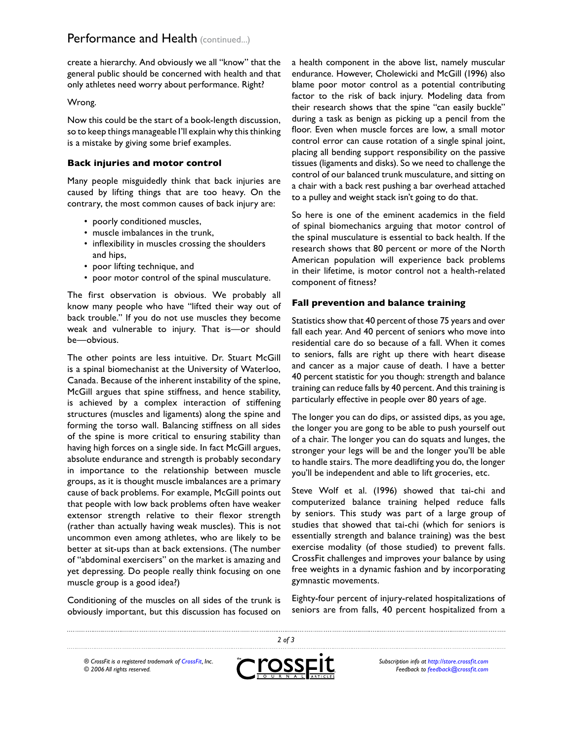create a hierarchy. And obviously we all "know" that the general public should be concerned with health and that only athletes need worry about performance. Right?

### Wrong.

Now this could be the start of a book-length discussion, so to keep things manageable I'll explain why this thinking is a mistake by giving some brief examples.

## **Back injuries and motor control**

Many people misguidedly think that back injuries are caused by lifting things that are too heavy. On the contrary, the most common causes of back injury are:

- poorly conditioned muscles,
- muscle imbalances in the trunk,
- inflexibility in muscles crossing the shoulders and hips,
- poor lifting technique, and
- poor motor control of the spinal musculature.

The first observation is obvious. We probably all know many people who have "lifted their way out of back trouble." If you do not use muscles they become weak and vulnerable to injury. That is—or should be—obvious.

The other points are less intuitive. Dr. Stuart McGill is a spinal biomechanist at the University of Waterloo, Canada. Because of the inherent instability of the spine, McGill argues that spine stiffness, and hence stability, is achieved by a complex interaction of stiffening structures (muscles and ligaments) along the spine and forming the torso wall. Balancing stiffness on all sides of the spine is more critical to ensuring stability than having high forces on a single side. In fact McGill argues, absolute endurance and strength is probably secondary in importance to the relationship between muscle groups, as it is thought muscle imbalances are a primary cause of back problems. For example, McGill points out that people with low back problems often have weaker extensor strength relative to their flexor strength (rather than actually having weak muscles). This is not uncommon even among athletes, who are likely to be better at sit-ups than at back extensions. (The number of "abdominal exercisers" on the market is amazing and yet depressing. Do people really think focusing on one muscle group is a good idea?)

Conditioning of the muscles on all sides of the trunk is obviously important, but this discussion has focused on a health component in the above list, namely muscular endurance. However, Cholewicki and McGill (1996) also blame poor motor control as a potential contributing factor to the risk of back injury. Modeling data from their research shows that the spine "can easily buckle" during a task as benign as picking up a pencil from the floor. Even when muscle forces are low, a small motor control error can cause rotation of a single spinal joint, placing all bending support responsibility on the passive tissues (ligaments and disks). So we need to challenge the control of our balanced trunk musculature, and sitting on a chair with a back rest pushing a bar overhead attached to a pulley and weight stack isn't going to do that.

So here is one of the eminent academics in the field of spinal biomechanics arguing that motor control of the spinal musculature is essential to back health. If the research shows that 80 percent or more of the North American population will experience back problems in their lifetime, is motor control not a health-related component of fitness?

### **Fall prevention and balance training**

Statistics show that 40 percent of those 75 years and over fall each year. And 40 percent of seniors who move into residential care do so because of a fall. When it comes to seniors, falls are right up there with heart disease and cancer as a major cause of death. I have a better 40 percent statistic for you though: strength and balance training can reduce falls by 40 percent. And this training is particularly effective in people over 80 years of age.

The longer you can do dips, or assisted dips, as you age, the longer you are gong to be able to push yourself out of a chair. The longer you can do squats and lunges, the stronger your legs will be and the longer you'll be able to handle stairs. The more deadlifting you do, the longer you'll be independent and able to lift groceries, etc.

Steve Wolf et al. (1996) showed that tai-chi and computerized balance training helped reduce falls by seniors. This study was part of a large group of studies that showed that tai-chi (which for seniors is essentially strength and balance training) was the best exercise modality (of those studied) to prevent falls. CrossFit challenges and improves your balance by using free weights in a dynamic fashion and by incorporating gymnastic movements.

Eighty-four percent of injury-related hospitalizations of seniors are from falls, 40 percent hospitalized from a

 *of 3* ross *® CrossFit is a registered trademark of [CrossFit,](http://www.crossfit.com) Inc. © 2006 All rights reserved.*



...........................

*Subscription info at [http://store.crossfit.com](http://journal.crossfit.com) Feedback to [feedback@crossfit.com](mailto:feedback@crossfit.com)*